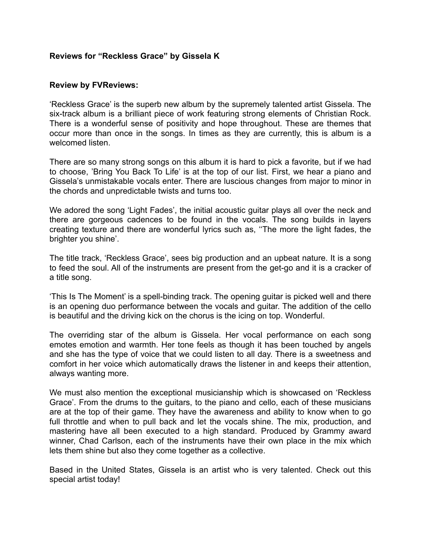# **Reviews for "Reckless Grace" by Gissela K**

#### **Review by FVReviews:**

'Reckless Grace' is the superb new album by the supremely talented artist Gissela. The six-track album is a brilliant piece of work featuring strong elements of Christian Rock. There is a wonderful sense of positivity and hope throughout. These are themes that occur more than once in the songs. In times as they are currently, this is album is a welcomed listen.

There are so many strong songs on this album it is hard to pick a favorite, but if we had to choose, 'Bring You Back To Life' is at the top of our list. First, we hear a piano and Gissela's unmistakable vocals enter. There are luscious changes from major to minor in the chords and unpredictable twists and turns too.

We adored the song 'Light Fades', the initial acoustic guitar plays all over the neck and there are gorgeous cadences to be found in the vocals. The song builds in layers creating texture and there are wonderful lyrics such as, ''The more the light fades, the brighter you shine'.

The title track, 'Reckless Grace', sees big production and an upbeat nature. It is a song to feed the soul. All of the instruments are present from the get-go and it is a cracker of a title song.

'This Is The Moment' is a spell-binding track. The opening guitar is picked well and there is an opening duo performance between the vocals and guitar. The addition of the cello is beautiful and the driving kick on the chorus is the icing on top. Wonderful.

The overriding star of the album is Gissela. Her vocal performance on each song emotes emotion and warmth. Her tone feels as though it has been touched by angels and she has the type of voice that we could listen to all day. There is a sweetness and comfort in her voice which automatically draws the listener in and keeps their attention, always wanting more.

We must also mention the exceptional musicianship which is showcased on 'Reckless Grace'. From the drums to the guitars, to the piano and cello, each of these musicians are at the top of their game. They have the awareness and ability to know when to go full throttle and when to pull back and let the vocals shine. The mix, production, and mastering have all been executed to a high standard. Produced by Grammy award winner, Chad Carlson, each of the instruments have their own place in the mix which lets them shine but also they come together as a collective.

Based in the United States, Gissela is an artist who is very talented. Check out this special artist today!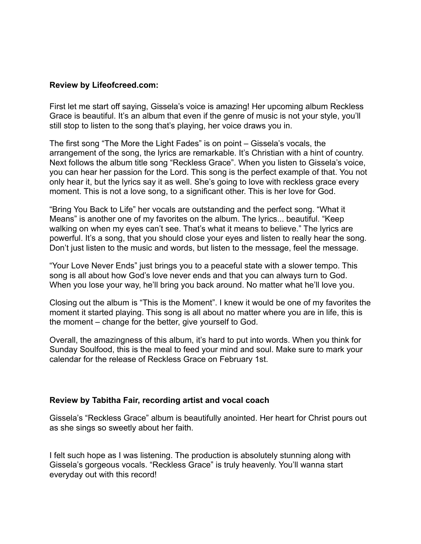## **Review by Lifeofcreed.com:**

First let me start off saying, Gissela's voice is amazing! Her upcoming album Reckless Grace is beautiful. It's an album that even if the genre of music is not your style, you'll still stop to listen to the song that's playing, her voice draws you in.

The first song "The More the Light Fades" is on point – Gissela's vocals, the arrangement of the song, the lyrics are remarkable. It's Christian with a hint of country. Next follows the album title song "Reckless Grace". When you listen to Gissela's voice, you can hear her passion for the Lord. This song is the perfect example of that. You not only hear it, but the lyrics say it as well. She's going to love with reckless grace every moment. This is not a love song, to a significant other. This is her love for God.

"Bring You Back to Life" her vocals are outstanding and the perfect song. "What it Means" is another one of my favorites on the album. The lyrics... beautiful. "Keep walking on when my eyes can't see. That's what it means to believe." The lyrics are powerful. It's a song, that you should close your eyes and listen to really hear the song. Don't just listen to the music and words, but listen to the message, feel the message.

"Your Love Never Ends" just brings you to a peaceful state with a slower tempo. This song is all about how God's love never ends and that you can always turn to God. When you lose your way, he'll bring you back around. No matter what he'll love you.

Closing out the album is "This is the Moment". I knew it would be one of my favorites the moment it started playing. This song is all about no matter where you are in life, this is the moment – change for the better, give yourself to God.

Overall, the amazingness of this album, it's hard to put into words. When you think for Sunday Soulfood, this is the meal to feed your mind and soul. Make sure to mark your calendar for the release of Reckless Grace on February 1st.

# **Review by Tabitha Fair, recording artist and vocal coach**

Gissela's "Reckless Grace" album is beautifully anointed. Her heart for Christ pours out as she sings so sweetly about her faith.

I felt such hope as I was listening. The production is absolutely stunning along with Gissela's gorgeous vocals. "Reckless Grace" is truly heavenly. You'll wanna start everyday out with this record!